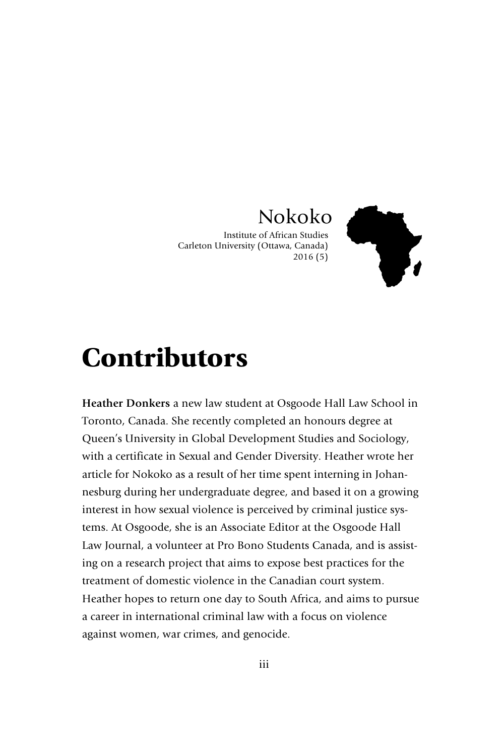## Nokoko

Institute of African Studies Carleton University (Ottawa, Canada) 2016 (5)



## **Contributors**

**Heather Donkers** a new law student at Osgoode Hall Law School in Toronto, Canada. She recently completed an honours degree at Queen's University in Global Development Studies and Sociology, with a certificate in Sexual and Gender Diversity. Heather wrote her article for Nokoko as a result of her time spent interning in Johannesburg during her undergraduate degree, and based it on a growing interest in how sexual violence is perceived by criminal justice systems. At Osgoode, she is an Associate Editor at the Osgoode Hall Law Journal, a volunteer at Pro Bono Students Canada, and is assisting on a research project that aims to expose best practices for the treatment of domestic violence in the Canadian court system. Heather hopes to return one day to South Africa, and aims to pursue a career in international criminal law with a focus on violence against women, war crimes, and genocide.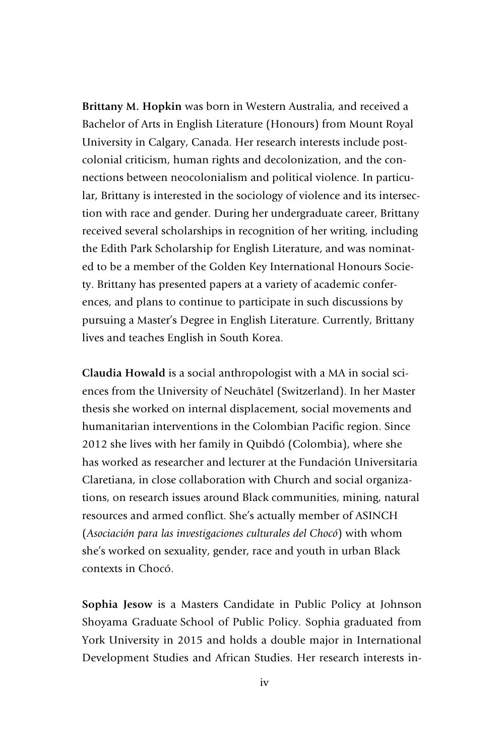**Brittany M. Hopkin** was born in Western Australia, and received a Bachelor of Arts in English Literature (Honours) from Mount Royal University in Calgary, Canada. Her research interests include postcolonial criticism, human rights and decolonization, and the connections between neocolonialism and political violence. In particular, Brittany is interested in the sociology of violence and its intersection with race and gender. During her undergraduate career, Brittany received several scholarships in recognition of her writing, including the Edith Park Scholarship for English Literature, and was nominated to be a member of the Golden Key International Honours Society. Brittany has presented papers at a variety of academic conferences, and plans to continue to participate in such discussions by pursuing a Master's Degree in English Literature. Currently, Brittany lives and teaches English in South Korea.

**Claudia Howald** is a social anthropologist with a MA in social sciences from the University of Neuchâtel (Switzerland). In her Master thesis she worked on internal displacement, social movements and humanitarian interventions in the Colombian Pacific region. Since 2012 she lives with her family in Quibdó (Colombia), where she has worked as researcher and lecturer at the Fundación Universitaria Claretiana, in close collaboration with Church and social organizations, on research issues around Black communities, mining, natural resources and armed conflict. She's actually member of ASINCH (*Asociación para las investigaciones culturales del Chocó*) with whom she's worked on sexuality, gender, race and youth in urban Black contexts in Chocó.

**Sophia Jesow** is a Masters Candidate in Public Policy at Johnson Shoyama Graduate School of Public Policy. Sophia graduated from York University in 2015 and holds a double major in International Development Studies and African Studies. Her research interests in-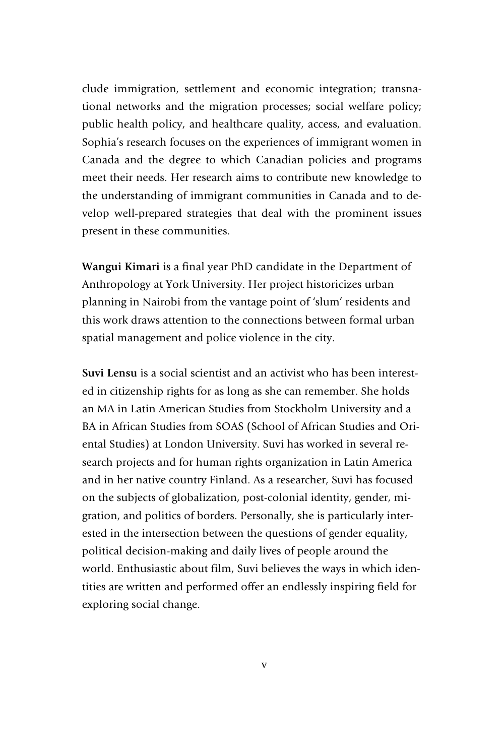clude immigration, settlement and economic integration; transnational networks and the migration processes; social welfare policy; public health policy, and healthcare quality, access, and evaluation. Sophia's research focuses on the experiences of immigrant women in Canada and the degree to which Canadian policies and programs meet their needs. Her research aims to contribute new knowledge to the understanding of immigrant communities in Canada and to develop well-prepared strategies that deal with the prominent issues present in these communities.

**Wangui Kimari** is a final year PhD candidate in the Department of Anthropology at York University. Her project historicizes urban planning in Nairobi from the vantage point of 'slum' residents and this work draws attention to the connections between formal urban spatial management and police violence in the city.

**Suvi Lensu** is a social scientist and an activist who has been interested in citizenship rights for as long as she can remember. She holds an MA in Latin American Studies from Stockholm University and a BA in African Studies from SOAS (School of African Studies and Oriental Studies) at London University. Suvi has worked in several research projects and for human rights organization in Latin America and in her native country Finland. As a researcher, Suvi has focused on the subjects of globalization, post-colonial identity, gender, migration, and politics of borders. Personally, she is particularly interested in the intersection between the questions of gender equality, political decision-making and daily lives of people around the world. Enthusiastic about film, Suvi believes the ways in which identities are written and performed offer an endlessly inspiring field for exploring social change.